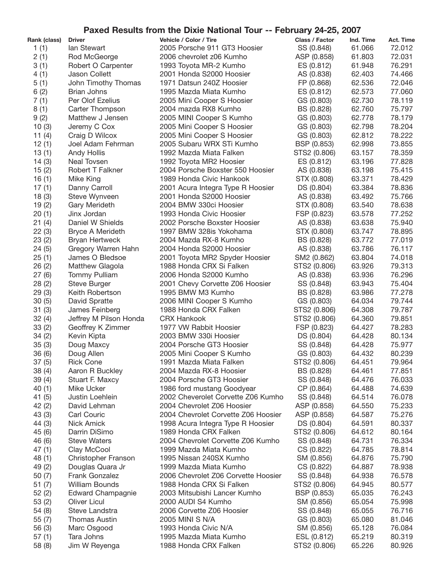## **Paxed Results from the Dixie National Tour -- February 24-25, 2007**

| Rank (class)   | <b>Driver</b>                          | Vehicle / Color / Tire                               | Class / Factor             | Ind. Time        | <b>Act. Time</b> |
|----------------|----------------------------------------|------------------------------------------------------|----------------------------|------------------|------------------|
| 1(1)           | lan Stewart                            | 2005 Porsche 911 GT3 Hoosier                         | SS (0.848)                 | 61.066           | 72.012           |
| 2(1)           | Rod McGeorge                           | 2006 chevrolet z06 Kumho                             | ASP (0.858)                | 61.803           | 72.031           |
| 3(1)           | Robert O Carpenter                     | 1993 Toyota MR-2 Kumho                               | ES (0.812)                 | 61.948           | 76.291           |
| 4(1)           | Jason Collett                          | 2001 Honda S2000 Hoosier                             | AS (0.838)                 | 62.403           | 74.466           |
| 5(1)           | John Timothy Thomas                    | 1971 Datsun 240Z Hoosier                             | FP (0.868)                 | 62.536           | 72.046           |
| 6(2)           | <b>Brian Johns</b>                     | 1995 Mazda Miata Kumho                               | ES (0.812)                 | 62.573           | 77.060           |
| 7(1)           | Per Olof Ezelius                       | 2005 Mini Cooper S Hoosier                           | GS (0.803)                 | 62.730           | 78.119           |
| 8(1)           | Carter Thompson                        | 2004 mazda RX8 Kumho                                 | BS (0.828)                 | 62.760           | 75.797           |
| 9(2)           | Matthew J Jensen                       | 2005 MINI Cooper S Kumho                             | GS (0.803)                 | 62.778           | 78.179           |
| 10(3)          | Jeremy C Cox                           | 2005 Mini Cooper S Hoosier                           | GS (0.803)                 | 62.798           | 78.204           |
| 11 $(4)$       | Craig D Wilcox                         | 2005 Mini Cooper S Hoosier                           | GS (0.803)                 | 62.812           | 78.222           |
| 12(1)          | Joel Adam Fehrman                      | 2005 Subaru WRX STi Kumho                            | BSP (0.853)                | 62.998           | 73.855           |
| 13(1)          | <b>Andy Hollis</b>                     | 1992 Mazda Miata Falken                              | STS2 (0.806)               | 63.157           | 78.359           |
| 14(3)          | Neal Tovsen                            | 1992 Toyota MR2 Hoosier                              | ES (0.812)                 | 63.196           | 77.828           |
| 15(2)          | Robert T Falkner                       | 2004 Porsche Boxster 550 Hoosier                     | AS (0.838)                 | 63.198           | 75.415           |
| 16(1)          | Mike King                              | 1989 Honda Civic Hankook                             | STX (0.808)                | 63.371           | 78.429           |
| 17(1)          | Danny Carroll                          | 2001 Acura Integra Type R Hoosier                    | DS (0.804)                 | 63.384           | 78.836           |
| 18(3)          | Steve Wynveen                          | 2001 Honda S2000 Hoosier                             | AS (0.838)                 | 63.492           | 75.766           |
|                |                                        | 2004 BMW 330ci Hoosier                               |                            | 63.540           | 78.638           |
| 19(2)          | Gary Merideth                          |                                                      | STX (0.808)<br>FSP (0.823) | 63.578           | 77.252           |
| 20(1)          | Jinx Jordan                            | 1993 Honda Civic Hoosier                             |                            |                  | 75.940           |
| 21(4)          | Daniel W Shields                       | 2002 Porsche Boxster Hoosier                         | AS (0.838)                 | 63.638           |                  |
| 22(3)          | Bryce A Merideth                       | 1997 BMW 328is Yokohama                              | STX (0.808)                | 63.747           | 78.895           |
| 23(2)          | <b>Bryan Hertweck</b>                  | 2004 Mazda RX-8 Kumho                                | BS (0.828)                 | 63.772           | 77.019           |
| 24(5)          | Gregory Warren Hahn                    | 2004 Honda S2000 Hoosier                             | AS (0.838)                 | 63.786           | 76.117           |
| 25(1)          | James O Bledsoe                        | 2001 Toyota MR2 Spyder Hoosier                       | SM2 (0.862)                | 63.804           | 74.018           |
| 26(2)          | Matthew Glagola                        | 1988 Honda CRX Si Falken                             | STS2 (0.806)               | 63.926           | 79.313           |
| 27(6)          | <b>Tommy Pulliam</b>                   | 2006 Honda S2000 Kumho                               | AS (0.838)                 | 63.936           | 76.296<br>75.404 |
| 28(2)          | <b>Steve Burger</b><br>Keith Robertson | 2001 Chevy Corvette Z06 Hoosier<br>1995 BMW M3 Kumho | SS (0.848)                 | 63.943<br>63.986 | 77.278           |
| 29(3)<br>30(5) | David Spratte                          | 2006 MINI Cooper S Kumho                             | BS (0.828)<br>GS (0.803)   | 64.034           | 79.744           |
| 31(3)          | James Feinberg                         | 1988 Honda CRX Falken                                | STS2 (0.806)               | 64.308           | 79.787           |
| 32(4)          | Jeffrey M Pilson Honda                 | <b>CRX Hankook</b>                                   | STS2 (0.806)               | 64.360           | 79.851           |
| 33(2)          | Geoffrey K Zimmer                      | 1977 VW Rabbit Hoosier                               | FSP (0.823)                | 64.427           | 78.283           |
| 34(2)          | Kevin Kipta                            | 2003 BMW 330i Hoosier                                | DS (0.804)                 | 64.428           | 80.134           |
| 35(3)          | Doug Maxcy                             | 2004 Porsche GT3 Hoosier                             | SS (0.848)                 | 64.428           | 75.977           |
| 36(6)          | Doug Allen                             | 2005 Mini Cooper S Kumho                             | GS (0.803)                 | 64.432           | 80.239           |
| 37(5)          | <b>Rick Cone</b>                       | 1991 Mazda Miata Falken                              | STS2 (0.806)               | 64.451           | 79.964           |
| 38(4)          | Aaron R Buckley                        | 2004 Mazda RX-8 Hoosier                              | BS (0.828)                 | 64.461           | 77.851           |
| 39(4)          | Stuart F. Maxcy                        | 2004 Porsche GT3 Hoosier                             | SS (0.848)                 | 64.476           | 76.033           |
| 40(1)          | Mike Ucker                             | 1986 ford mustang Goodyear                           | CP (0.864)                 | 64.488           | 74.639           |
|                | Justin Loehlein                        | 2002 Cheverolet Corvette Z06 Kumho                   | SS (0.848)                 | 64.514           | 76.078           |
| 41 (5)         |                                        | 2004 Chevrolet Z06 Hoosier                           |                            | 64.550           | 75.233           |
| 42(2)          | David Lehman                           | 2004 Chevrolet Corvette Z06 Hoosier                  | ASP (0.858)<br>ASP (0.858) | 64.587           | 75.276           |
| 43 (3)         | Carl Couric<br><b>Nick Amick</b>       |                                                      |                            | 64.591           | 80.337           |
| 44 (3)         |                                        | 1998 Acura Integra Type R Hoosier                    | DS (0.804)                 |                  |                  |
| 45 (6)         | Darrin DiSimo                          | 1989 Honda CRX Falken                                | STS2 (0.806)               | 64.612           | 80.164           |
| 46 (6)         | <b>Steve Waters</b>                    | 2004 Chevrolet Corvette Z06 Kumho                    | SS (0.848)                 | 64.731           | 76.334           |
| 47(1)          | Clay McCool                            | 1999 Mazda Miata Kumho                               | CS (0.822)                 | 64.785           | 78.814           |
| 48(1)          | Christopher Franson                    | 1995 Nissan 240SX Kumho                              | SM (0.856)                 | 64.876           | 75.790           |
| 49 (2)         | Douglas Quara Jr                       | 1999 Mazda Miata Kumho                               | CS (0.822)                 | 64.887           | 78.938           |
| 50(7)          | Frank Gonzalez                         | 2006 Chevrolet Z06 Corvette Hoosier                  | SS (0.848)                 | 64.938           | 76.578           |
| 51(7)          | William Bounds                         | 1988 Honda CRX Si Falken                             | STS2 (0.806)               | 64.945           | 80.577           |
| 52(2)          | <b>Edward Champagnie</b>               | 2003 Mitsubishi Lancer Kumho                         | BSP (0.853)                | 65.035           | 76.243           |
| 53 (2)         | <b>Oliver Licul</b>                    | 2000 AUDI S4 Kumho                                   | SM (0.856)                 | 65.054           | 75.998           |
| 54 (8)         | Steve Landstra                         | 2006 Corvette Z06 Hoosier                            | SS (0.848)                 | 65.055           | 76.716           |
| 55(7)          | <b>Thomas Austin</b>                   | 2005 MINI S N/A                                      | GS (0.803)                 | 65.080           | 81.046           |
| 56(3)          | Marc Osgood                            | 1993 Honda Civic N/A                                 | SM (0.856)                 | 65.128           | 76.084           |
| 57(1)          | Tara Johns                             | 1995 Mazda Miata Kumho                               | ESL (0.812)                | 65.219           | 80.319           |
| 58 (8)         | Jim W Reyenga                          | 1988 Honda CRX Falken                                | STS2 (0.806)               | 65.226           | 80.926           |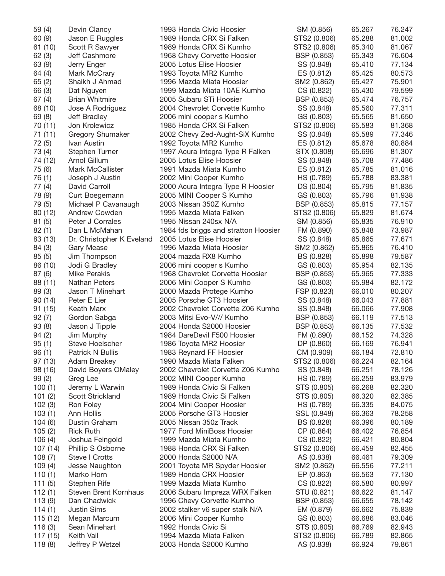| 59 (4)   | Devin Clancy                 | 1993 Honda Civic Hoosier             | SM (0.856)   | 65.267 | 76.247 |
|----------|------------------------------|--------------------------------------|--------------|--------|--------|
| 60 (9)   | Jason E Ruggles              | 1989 Honda CRX Si Falken             | STS2 (0.806) | 65.288 | 81.002 |
| 61 (10)  | Scott R Sawyer               | 1989 Honda CRX Si Kumho              | STS2 (0.806) | 65.340 | 81.067 |
| 62(3)    | Jeff Cashmore                | 1968 Chevy Corvette Hoosier          | BSP (0.853)  | 65.343 | 76.604 |
| 63 (9)   | Jerry Enger                  | 2005 Lotus Elise Hoosier             | SS (0.848)   | 65.410 | 77.134 |
| 64 (4)   | Mark McCrary                 | 1993 Toyota MR2 Kumho                | ES (0.812)   | 65.425 | 80.573 |
| 65(2)    | Shaikh J Ahmad               | 1996 Mazda Miata Hoosier             | SM2 (0.862)  | 65.427 | 75.901 |
| 66 (3)   | Dat Nguyen                   | 1999 Mazda Miata 10AE Kumho          | CS (0.822)   | 65.430 | 79.599 |
| 67(4)    | <b>Brian Whitmire</b>        | 2005 Subaru STi Hoosier              | BSP (0.853)  | 65.474 | 76.757 |
| 68 (10)  | Jose A Rodriguez             | 2004 Chevrolet Corvette Kumho        | SS (0.848)   | 65.560 | 77.311 |
| 69 (8)   | Jeff Bradley                 | 2006 mini cooper s Kumho             | GS (0.803)   | 65.565 | 81.650 |
| 70 (11)  | Jon Krolewicz                | 1985 Honda CRX Si Falken             | STS2 (0.806) | 65.583 | 81.368 |
| 71 (11)  | Gregory Shumaker             | 2002 Chevy Zed-Aught-SiX Kumho       | SS (0.848)   | 65.589 | 77.346 |
| 72 (5)   | Ivan Austin                  | 1992 Toyota MR2 Kumho                | ES (0.812)   | 65.678 | 80.884 |
| 73 (4)   | Stephen Turner               | 1997 Acura Integra Type R Falken     | STX (0.808)  | 65.696 | 81.307 |
| 74 (12)  | Arnol Gillum                 | 2005 Lotus Elise Hoosier             | SS (0.848)   | 65.708 | 77.486 |
| 75 (6)   | Mark McCallister             | 1991 Mazda Miata Kumho               | ES (0.812)   | 65.785 | 81.016 |
| 76 (1)   | Joseph J Austin              | 2002 Mini Cooper Kumho               | HS (0.789)   | 65.788 | 83.381 |
| 77 (4)   | David Carroll                | 2000 Acura Integra Type R Hoosier    | DS (0.804)   | 65.795 | 81.835 |
| 78 (9)   | Curt Boegemann               | 2005 MINI Cooper S Kumho             | GS (0.803)   | 65.796 | 81.938 |
| 79 (5)   | Michael P Cavanaugh          | 2003 Nissan 350Z Kumho               | BSP (0.853)  | 65.815 | 77.157 |
| 80 (12)  | Andrew Cowden                | 1995 Mazda Miata Falken              | STS2 (0.806) | 65.829 | 81.674 |
| 81(5)    | Peter J Corrales             | 1995 Nissan 240sx N/A                | SM (0.856)   | 65.835 | 76.910 |
|          | Dan L McMahan                |                                      |              | 65.848 | 73.987 |
| 82(1)    |                              | 1984 fds briggs and stratton Hoosier | FM (0.890)   |        |        |
| 83 (13)  | Dr. Christopher K Eveland    | 2005 Lotus Elise Hoosier             | SS (0.848)   | 65.865 | 77.671 |
| 84 (3)   | Gary Mease                   | 1996 Mazda Miata Hoosier             | SM2 (0.862)  | 65.865 | 76.410 |
| 85(5)    | Jim Thompson                 | 2004 mazda RX8 Kumho                 | BS (0.828)   | 65.898 | 79.587 |
| 86 (10)  | Jodi G Bradley               | 2006 mini cooper s Kumho             | GS (0.803)   | 65.954 | 82.135 |
| 87(6)    | <b>Mike Perakis</b>          | 1968 Chevrolet Corvette Hoosier      | BSP (0.853)  | 65.965 | 77.333 |
| 88 (11)  | Nathan Peters                | 2006 Mini Cooper S Kumho             | GS (0.803)   | 65.984 | 82.172 |
| 89(3)    | Jason T Minehart             | 2000 Mazda Protege Kumho             | FSP (0.823)  | 66.010 | 80.207 |
| 90(14)   | Peter E Lier                 | 2005 Porsche GT3 Hoosier             | SS (0.848)   | 66.043 | 77.881 |
| 91 (15)  | Keath Marx                   | 2002 Chevrolet Corvette Z06 Kumho    | SS (0.848)   | 66.066 | 77.908 |
| 92(7)    | Gordon Sabga                 | 2003 Mitsi Evo-V/// Kumho            | BSP (0.853)  | 66.119 | 77.513 |
| 93 (8)   | Jason J Tipple               | 2004 Honda S2000 Hoosier             | BSP (0.853)  | 66.135 | 77.532 |
| 94(2)    | Jim Murphy                   | 1984 DareDevil F500 Hoosier          | FM (0.890)   | 66.152 | 74.328 |
| 95(1)    | Steve Hoelscher              | 1986 Toyota MR2 Hoosier              | DP (0.860)   | 66.169 | 76.941 |
| 96(1)    | Patrick N Bullis             | 1983 Reynard FF Hoosier              | CM (0.909)   | 66.184 | 72.810 |
| 97 (13)  | Adam Breakey                 | 1990 Mazda Miata Falken              | STS2 (0.806) | 66.224 | 82.164 |
| 98 (16)  | David Boyers OMaley          | 2002 Chevrolet Corvette Z06 Kumho    | SS (0.848)   | 66.251 | 78.126 |
| 99(2)    | Greg Lee                     | 2002 MINI Cooper Kumho               | HS (0.789)   | 66.259 | 83.979 |
| 100(1)   | Jeremy L Warwin              | 1989 Honda Civic Si Falken           | STS (0.805)  | 66.268 | 82.320 |
| 101(2)   | Scott Strickland             | 1989 Honda Civic Si Falken           | STS (0.805)  | 66.320 | 82.385 |
| 102(3)   | Ron Foley                    | 2004 Mini Cooper Hoosier             | HS (0.789)   | 66.335 | 84.075 |
| 103(1)   | Ann Hollis                   | 2005 Porsche GT3 Hoosier             | SSL (0.848)  | 66.363 | 78.258 |
| 104(6)   | Dustin Graham                | 2005 Nissan 350z Track               | BS (0.828)   | 66.396 | 80.189 |
| 105(2)   | <b>Rick Ruth</b>             | 1977 Ford MiniBoss Hoosier           | CP (0.864)   | 66.402 | 76.854 |
| 106(4)   | Joshua Feingold              | 1999 Mazda Miata Kumho               | CS (0.822)   | 66.421 | 80.804 |
| 107 (14) | Phillip S Osborne            | 1988 Honda CRX Si Falken             | STS2 (0.806) | 66.459 | 82.455 |
| 108(7)   | Steve I Crotts               | 2000 Honda S2000 N/A                 | AS (0.838)   | 66.461 | 79.309 |
| 109(4)   | Jesse Naughton               | 2001 Toyota MR Spyder Hoosier        | SM2 (0.862)  | 66.556 | 77.211 |
| 110(1)   | Marko Horn                   | 1989 Honda CRX Hoosier               | EP (0.863)   | 66.563 | 77.130 |
| 111(5)   | Stephen Rife                 | 1999 Mazda Miata Kumho               | CS (0.822)   | 66.580 | 80.997 |
| 112(1)   | <b>Steven Brent Kornhaus</b> | 2006 Subaru Impreza WRX Falken       | STU (0.821)  | 66.622 | 81.147 |
| 113 (9)  | Dan Chadwick                 | 1996 Chevy Corvette Kumho            | BSP (0.853)  | 66.655 | 78.142 |
| 114(1)   | <b>Justin Sims</b>           | 2002 stalker v6 super stalk N/A      | EM (0.879)   | 66.662 | 75.839 |
| 115 (12) | Megan Marcum                 | 2006 Mini Cooper Kumho               | GS (0.803)   | 66.686 | 83.046 |
| 116(3)   | Sean Minehart                | 1992 Honda Civic Si                  | STS (0.805)  | 66.769 | 82.943 |
| 117 (15) | Keith Vail                   | 1994 Mazda Miata Falken              | STS2 (0.806) | 66.789 | 82.865 |
| 118(8)   | Jeffrey P Wetzel             | 2003 Honda S2000 Kumho               | AS (0.838)   | 66.924 | 79.861 |
|          |                              |                                      |              |        |        |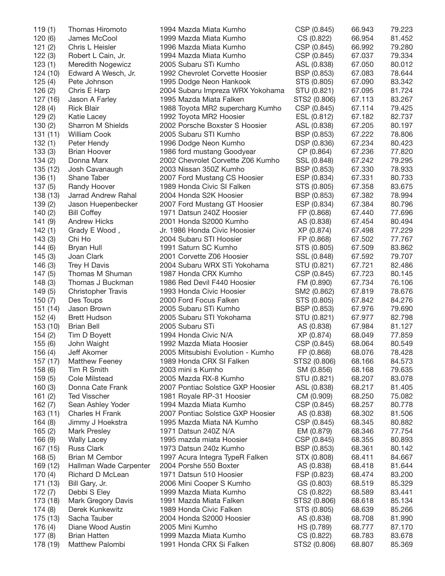| 119(1)   | Thomas Hiromoto           | 1994 Mazda Miata Kumho            | CSP (0.845)  | 66.943 | 79.223 |
|----------|---------------------------|-----------------------------------|--------------|--------|--------|
| 120(6)   | James McCool              | 1999 Mazda Miata Kumho            | CS (0.822)   | 66.954 | 81.452 |
| 121(2)   | Chris L Heisler           | 1996 Mazda Miata Kumho            | CSP (0.845)  | 66.992 | 79.280 |
| 122(3)   | Robert L Cain, Jr.        | 1994 Mazda Miata Kumho            | CSP (0.845)  | 67.037 | 79.334 |
| 123(1)   | Meredith Nogewicz         | 2005 Subaru STi Kumho             | ASL (0.838)  | 67.050 | 80.012 |
| 124 (10) | Edward A Wesch, Jr.       | 1992 Chevrolet Corvette Hoosier   | BSP (0.853)  | 67.083 | 78.644 |
| 125(4)   | Pete Johnson              | 1995 Dodge Neon Hankook           | STS (0.805)  | 67.090 | 83.342 |
| 126(2)   | Chris E Harp              | 2004 Subaru Impreza WRX Yokohama  | STU (0.821)  | 67.095 | 81.724 |
| 127 (16) | Jason A Farley            | 1995 Mazda Miata Falken           | STS2 (0.806) | 67.113 | 83.267 |
| 128(4)   | <b>Rick Blair</b>         | 1988 Toyota MR2 supercharg Kumho  | CSP (0.845)  | 67.114 | 79.425 |
|          |                           | 1992 Toyota MR2 Hoosier           |              |        | 82.737 |
| 129(2)   | Katie Lacey               |                                   | ESL (0.812)  | 67.182 |        |
| 130(2)   | Sharron M Shields         | 2002 Porsche Boxster S Hoosier    | ASL (0.838)  | 67.205 | 80.197 |
| 131(11)  | <b>William Cook</b>       | 2005 Subaru STI Kumho             | BSP (0.853)  | 67.222 | 78.806 |
| 132(1)   | Peter Hendy               | 1996 Dodge Neon Kumho             | DSP (0.836)  | 67.234 | 80.423 |
| 133(3)   | <b>Brian Hoover</b>       | 1986 ford mustang Goodyear        | CP (0.864)   | 67.236 | 77.820 |
| 134(2)   | Donna Marx                | 2002 Chevrolet Corvette Z06 Kumho | SSL (0.848)  | 67.242 | 79.295 |
| 135 (12) | Josh Cavanaugh            | 2003 Nissan 350Z Kumho            | BSP (0.853)  | 67.330 | 78.933 |
| 136(1)   | Shane Taber               | 2007 Ford Mustang CS Hoosier      | ESP (0.834)  | 67.331 | 80.733 |
| 137(5)   | Randy Hoover              | 1989 Honda Civic SI Falken        | STS (0.805)  | 67.358 | 83.675 |
| 138 (13) | Jarrad Andrew Rahal       | 2004 Honda S2K Hoosier            | BSP (0.853)  | 67.382 | 78.994 |
| 139(2)   | Jason Huepenbecker        | 2007 Ford Mustang GT Hoosier      | ESP (0.834)  | 67.384 | 80.796 |
| 140(2)   | <b>Bill Coffey</b>        | 1971 Datsun 240Z Hoosier          | FP (0.868)   | 67.440 | 77.696 |
| 141(9)   | <b>Andrew Hicks</b>       | 2001 Honda S2000 Kumho            | AS (0.838)   | 67.454 | 80.494 |
| 142(1)   | Grady E Wood,             | Jr. 1986 Honda Civic Hoosier      | XP (0.874)   | 67.498 | 77.229 |
| 143(3)   | Chi Ho                    | 2004 Subaru STI Hoosier           | FP (0.868)   | 67.502 | 77.767 |
| 144(6)   | Bryan Hull                | 1991 Saturn SC Kumho              | STS (0.805)  | 67.509 | 83.862 |
| 145(3)   | Joan Clark                | 2001 Corvette Z06 Hoosier         | SSL (0.848)  | 67.592 | 79.707 |
| 146 (3)  | Trey H Davis              | 2004 Subaru WRX STi Yokohama      | STU (0.821)  | 67.721 | 82.486 |
| 147(5)   | Thomas M Shuman           | 1987 Honda CRX Kumho              | CSP (0.845)  | 67.723 | 80.145 |
| 148(3)   | Thomas J Buckman          | 1986 Red Devil F440 Hoosier       | FM (0.890)   | 67.734 | 76.106 |
|          |                           |                                   |              |        |        |
| 149 (5)  | <b>Christopher Travis</b> | 1993 Honda Civic Hoosier          | SM2 (0.862)  | 67.819 | 78.676 |
| 150(7)   | Des Toups                 | 2000 Ford Focus Falken            | STS (0.805)  | 67.842 | 84.276 |
| 151 (14) | Jason Brown               | 2005 Subaru STi Kumho             | BSP (0.853)  | 67.976 | 79.690 |
| 152(4)   | Brett Hudson              | 2005 Subaru STI Yokohama          | STU (0.821)  | 67.977 | 82.798 |
| 153 (10) | <b>Brian Bell</b>         | 2005 Subaru STi                   | AS (0.838)   | 67.984 | 81.127 |
| 154(2)   | Tim D Boyett              | 1994 Honda Civic N/A              | XP (0.874)   | 68.049 | 77.859 |
| 155(6)   | John Waight               | 1992 Mazda Miata Hoosier          | CSP (0.845)  | 68.064 | 80.549 |
| 156 (4)  | Jeff Akomer               | 2005 Mitsubishi Evolution - Kumho | FP (0.868)   | 68.076 | 78.428 |
| 157 (17) | <b>Matthew Feeney</b>     | 1989 Honda CRX SI Falken          | STS2 (0.806) | 68.166 | 84.573 |
| 158 (6)  | Tim R Smith               | 2003 mini s Kumho                 | SM (0.856)   | 68.168 | 79.635 |
| 159(5)   | Cole Milstead             | 2005 Mazda RX-8 Kumho             | STU (0.821)  | 68.207 | 83.078 |
| 160(3)   | Donna Cate Frank          | 2007 Pontiac Solstice GXP Hoosier | ASL (0.838)  | 68.217 | 81.405 |
| 161(2)   | <b>Ted Visscher</b>       | 1981 Royale RP-31 Hoosier         | CM (0.909)   | 68.250 | 75.082 |
| 162(7)   | Sean Ashley Yoder         | 1994 Mazda Miata Kumho            | CSP (0.845)  | 68.257 | 80.778 |
| 163 (11) | Charles H Frank           | 2007 Pontiac Solstice GXP Hoosier | AS (0.838)   | 68.302 | 81.506 |
| 164 (8)  | Jimmy J Hoekstra          | 1995 Mazda Miata NA Kumho         | CSP (0.845)  | 68.345 | 80.882 |
| 165(2)   | <b>Mark Presley</b>       | 1971 Datsun 240Z N/A              | EM (0.879)   | 68.346 | 77.754 |
| 166 (9)  | <b>Wally Lacey</b>        | 1995 mazda miata Hoosier          | CSP (0.845)  | 68.355 | 80.893 |
| 167 (15) | <b>Russ Clark</b>         | 1973 Datsun 240z Kumho            | BSP (0.853)  | 68.361 | 80.142 |
| 168(5)   | Brian M Cembor            | 1997 Acura Integra TypeR Falken   | STX (0.808)  | 68.411 | 84.667 |
| 169 (12) | Hallman Wade Carpenter    | 2004 Porshe 550 Boxter            | AS (0.838)   | 68.418 | 81.644 |
|          |                           |                                   |              |        |        |
| 170 (4)  | Richard D McLean          | 1971 Datsun 510 Hoosier           | FSP (0.823)  | 68.474 | 83.200 |
| 171 (13) | Bill Gary, Jr.            | 2006 Mini Cooper S Kumho          | GS (0.803)   | 68.519 | 85.329 |
| 172 (7)  | Debbi S Eley              | 1999 Mazda Miata Kumho            | CS (0.822)   | 68.589 | 83.441 |
| 173 (18) | Mark Gregory Davis        | 1991 Mazda Miata Falken           | STS2 (0.806) | 68.618 | 85.134 |
| 174 (8)  | Derek Kunkewitz           | 1989 Honda Civic Falken           | STS (0.805)  | 68.639 | 85.266 |
| 175 (13) | Sacha Tauber              | 2004 Honda S2000 Hoosier          | AS (0.838)   | 68.708 | 81.990 |
| 176(4)   | Diane Wood Austin         | 2005 Mini Kumho                   | HS (0.789)   | 68.777 | 87.170 |
| 177 (8)  | <b>Brian Hatten</b>       | 1999 Mazda Miata Kumho            | CS (0.822)   | 68.783 | 83.678 |
| 178 (19) | Matthew Palombi           | 1991 Honda CRX Si Falken          | STS2 (0.806) | 68.807 | 85.369 |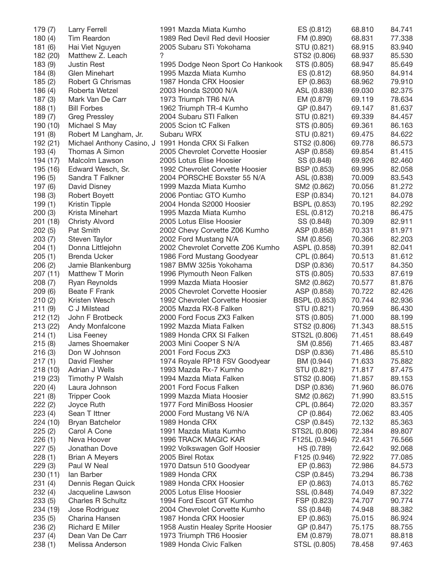| 179 (7)  | Larry Ferrell            | 1991 Mazda Miata Kumho                             | ES (0.812)          | 68.810 | 84.741 |
|----------|--------------------------|----------------------------------------------------|---------------------|--------|--------|
| 180(4)   | Tim Reardon              | 1989 Red Devil Red devil Hoosier                   | FM (0.890)          | 68.831 | 77.338 |
| 181(6)   | Hai Viet Nguyen          | 2005 Subaru STi Yokohama                           | STU (0.821)         | 68.915 | 83.940 |
| 182 (20) | Matthew Z. Leach         | ?                                                  | STS2 (0.806)        | 68.937 | 85.530 |
| 183 (9)  | <b>Justin Rest</b>       | 1995 Dodge Neon Sport Co Hankook                   | STS (0.805)         | 68.947 | 85.649 |
| 184(8)   | Glen Minehart            | 1995 Mazda Miata Kumho                             | ES (0.812)          | 68.950 | 84.914 |
| 185(2)   | Robert G Chrismas        | 1987 Honda CRX Hoosier                             | EP (0.863)          | 68.962 | 79.910 |
| 186 (4)  | Roberta Wetzel           | 2003 Honda S2000 N/A                               | ASL (0.838)         | 69.030 | 82.375 |
| 187(3)   | Mark Van De Carr         | 1973 Triumph TR6 N/A                               | EM (0.879)          | 69.119 | 78.634 |
| 188(1)   | <b>Bill Forbes</b>       | 1962 Triumph TR-4 Kumho                            | GP (0.847)          | 69.147 | 81.637 |
|          |                          | 2004 Subaru STI Falken                             |                     |        |        |
| 189 (7)  | <b>Greg Pressley</b>     |                                                    | STU (0.821)         | 69.339 | 84.457 |
| 190 (10) | Michael S May            | 2005 Scion tC Falken                               | STS (0.805)         | 69.361 | 86.163 |
| 191 (8)  | Robert M Langham, Jr.    | Subaru WRX                                         | STU (0.821)         | 69.475 | 84.622 |
| 192 (21) |                          | Michael Anthony Casino, J 1991 Honda CRX Si Falken | STS2 (0.806)        | 69.778 | 86.573 |
| 193(4)   | Thomas A Simon           | 2005 Chevrolet Corvette Hoosier                    | ASP (0.858)         | 69.854 | 81.415 |
| 194 (17) | Malcolm Lawson           | 2005 Lotus Elise Hoosier                           | SS (0.848)          | 69.926 | 82.460 |
| 195 (16) | Edward Wesch, Sr.        | 1992 Chevrolet Corvette Hoosier                    | BSP (0.853)         | 69.995 | 82.058 |
| 196 (5)  | Sandra T Falkner         | 2004 PORSCHE Boxster 55 N/A                        | ASL (0.838)         | 70.009 | 83.543 |
| 197 (6)  | David Disney             | 1999 Mazda Miata Kumho                             | SM2 (0.862)         | 70.056 | 81.272 |
| 198 (3)  | Robert Boyett            | 2006 Pontiac GTO Kumho                             | ESP (0.834)         | 70.121 | 84.078 |
| 199(1)   | <b>Kristin Tipple</b>    | 2004 Honda S2000 Hoosier                           | BSPL (0.853)        | 70.195 | 82.292 |
| 200(3)   | Krista Minehart          | 1995 Mazda Miata Kumho                             | ESL (0.812)         | 70.218 | 86.475 |
| 201 (18) | <b>Christy Alvord</b>    | 2005 Lotus Elise Hoosier                           | SS (0.848)          | 70.309 | 82.911 |
| 202(5)   | Pat Smith                | 2002 Chevy Corvette Z06 Kumho                      | ASP (0.858)         | 70.331 | 81.971 |
| 203(7)   | Steven Taylor            | 2002 Ford Mustang N/A                              | SM (0.856)          | 70.366 | 82.203 |
|          | Donna Littlejohn         | 2002 Chevrolet Corvette Z06 Kumho                  | ASPL (0.858)        | 70.391 | 82.041 |
| 204(1)   |                          |                                                    |                     |        |        |
| 205(1)   | <b>Brenda Ucker</b>      | 1986 Ford Mustang Goodyear                         | CPL (0.864)         | 70.513 | 81.612 |
| 206(2)   | Jamie Blankenburg        | 1987 BMW 325is Yokohama                            | DSP (0.836)         | 70.517 | 84.350 |
| 207 (11) | Matthew T Morin          | 1996 Plymouth Neon Falken                          | STS (0.805)         | 70.533 | 87.619 |
| 208(7)   | Ryan Reynolds            | 1999 Mazda Miata Hoosier                           | SM2 (0.862)         | 70.577 | 81.876 |
| 209 (6)  | Beate F Frank            | 2005 Chevrolet Corvette Hoosier                    | ASP (0.858)         | 70.722 | 82.426 |
| 210(2)   | Kristen Wesch            | 1992 Chevrolet Corvette Hoosier                    | <b>BSPL (0.853)</b> | 70.744 | 82.936 |
| 211(9)   | C J Milstead             | 2005 Mazda RX-8 Falken                             | STU (0.821)         | 70.959 | 86.430 |
| 212 (12) | John F Brotbeck          | 2000 Ford Focus ZX3 Falken                         | STS (0.805)         | 71.000 | 88.199 |
| 213 (22) | Andy Monfalcone          | 1992 Mazda Miata Falken                            | STS2 (0.806)        | 71.343 | 88.515 |
| 214(1)   | Lisa Feeney              | 1989 Honda CRX SI Falken                           | STS2L (0.806)       | 71.451 | 88.649 |
| 215(8)   | James Shoemaker          | 2003 Mini Cooper S N/A                             | SM (0.856)          | 71.465 | 83.487 |
| 216(3)   | Don W Johnson            | 2001 Ford Focus ZX3                                | DSP (0.836)         | 71.486 | 85.510 |
| 217(1)   | David Flesher            | 1974 Royale RP18 FSV Goodyear                      | BM (0.944)          | 71.633 | 75.882 |
| 218(10)  | Adrian J Wells           | 1993 Mazda Rx-7 Kumho                              | STU (0.821)         | 71.817 | 87.475 |
| 219 (23) | Timothy P Walsh          | 1994 Mazda Miata Falken                            | STS2 (0.806)        | 71.857 | 89.153 |
| 220(4)   | Laura Johnson            | 2001 Ford Focus Falken                             | DSP (0.836)         | 71.960 | 86.076 |
| 221(8)   | <b>Tripper Cook</b>      | 1999 Mazda Miata Hoosier                           | SM2 (0.862)         | 71.990 | 83.515 |
| 222(2)   | Joyce Ruth               | 1977 Ford MiniBoss Hoosier                         | CPL (0.864)         | 72.020 | 83.357 |
|          |                          |                                                    |                     |        |        |
| 223(4)   | Sean T Ittner            | 2000 Ford Mustang V6 N/A                           | CP (0.864)          | 72.062 | 83.405 |
| 224 (10) | <b>Bryan Batchelor</b>   | 1989 Honda CRX                                     | CSP (0.845)         | 72.132 | 85.363 |
| 225(2)   | Carol A Cone             | 1991 Mazda Miata Kumho                             | STS2L (0.806)       | 72.384 | 89.807 |
| 226(1)   | Neva Hoover              | 1996 TRACK MAGIC KAR                               | F125L (0.946)       | 72.431 | 76.566 |
| 227(5)   | Jonathan Dove            | 1992 Volkswagen Golf Hoosier                       | HS (0.789)          | 72.642 | 92.068 |
| 228(1)   | <b>Brian A Meyers</b>    | 2005 Birel Rotax                                   | F125 (0.946)        | 72.922 | 77.085 |
| 229(3)   | Paul W Neal              | 1970 Datsun 510 Goodyear                           | EP (0.863)          | 72.986 | 84.573 |
| 230 (11) | lan Barber               | 1989 Honda CRX                                     | CSP (0.845)         | 73.294 | 86.738 |
| 231(4)   | Dennis Regan Quick       | 1989 Honda CRX Hoosier                             | EP (0.863)          | 74.013 | 85.762 |
| 232(4)   | Jacqueline Lawson        | 2005 Lotus Elise Hoosier                           | SSL (0.848)         | 74.049 | 87.322 |
| 233(5)   | <b>Charles R Schultz</b> | 1994 Ford Escort GT Kumho                          | FSP (0.823)         | 74.707 | 90.774 |
| 234 (19) | Jose Rodriguez           | 2004 Chevrolet Corvette Kumho                      | SS (0.848)          | 74.948 | 88.382 |
| 235(5)   | Charina Hansen           | 1987 Honda CRX Hoosier                             | EP (0.863)          | 75.015 | 86.924 |
| 236 (2)  | <b>Richard E Miller</b>  | 1958 Austin Healey Sprite Hoosier                  | GP (0.847)          | 75.175 | 88.755 |
| 237 (4)  | Dean Van De Carr         | 1973 Triumph TR6 Hoosier                           | EM (0.879)          | 78.071 | 88.818 |
|          |                          |                                                    |                     |        |        |
| 238(1)   | Melissa Anderson         | 1989 Honda Civic Falken                            | STSL (0.805)        | 78.458 | 97.463 |